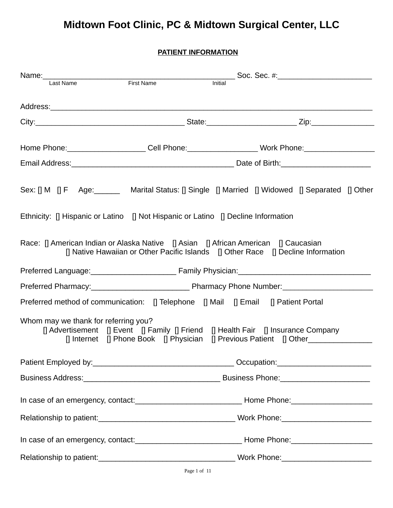# **Midtown Foot Clinic, PC & Midtown Surgical Center, LLC**

**PATIENT INFORMATION**

| Name:<br>last Name<br>First Name<br>First Name                                                                                                                                                     |                                                                                  |         |  |
|----------------------------------------------------------------------------------------------------------------------------------------------------------------------------------------------------|----------------------------------------------------------------------------------|---------|--|
|                                                                                                                                                                                                    |                                                                                  | Initial |  |
|                                                                                                                                                                                                    |                                                                                  |         |  |
|                                                                                                                                                                                                    |                                                                                  |         |  |
| Home Phone:______________________Cell Phone:____________________Work Phone:_________________________                                                                                               |                                                                                  |         |  |
|                                                                                                                                                                                                    |                                                                                  |         |  |
| Sex: [] M [] F Age: _______ Marital Status: [] Single [] Married [] Widowed [] Separated [] Other<br>Ethnicity: $\Box$ Hispanic or Latino $\Box$ Not Hispanic or Latino $\Box$ Decline Information |                                                                                  |         |  |
| Race: [] American Indian or Alaska Native [] Asian [] African American [] Caucasian                                                                                                                | [] Native Hawaiian or Other Pacific Islands [] Other Race [] Decline Information |         |  |
|                                                                                                                                                                                                    |                                                                                  |         |  |
|                                                                                                                                                                                                    |                                                                                  |         |  |
| Preferred method of communication: [] Telephone [] Mail [] Email [] Patient Portal                                                                                                                 |                                                                                  |         |  |
| Whom may we thank for referring you?<br>[] Advertisement [] Event [] Family [] Friend [] Health Fair [] Insurance Company                                                                          |                                                                                  |         |  |
|                                                                                                                                                                                                    |                                                                                  |         |  |
|                                                                                                                                                                                                    |                                                                                  |         |  |
|                                                                                                                                                                                                    |                                                                                  |         |  |
|                                                                                                                                                                                                    |                                                                                  |         |  |
|                                                                                                                                                                                                    |                                                                                  |         |  |
|                                                                                                                                                                                                    |                                                                                  |         |  |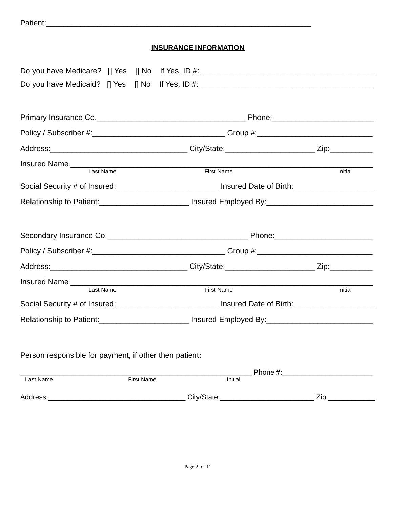| Patient: |  |
|----------|--|
|          |  |

### **INSURANCE INFORMATION**

|                                                        | Do you have Medicare? [] Yes [] No If Yes, ID #: _______________________________                     |                                                                                                                                                                                                                                |
|--------------------------------------------------------|------------------------------------------------------------------------------------------------------|--------------------------------------------------------------------------------------------------------------------------------------------------------------------------------------------------------------------------------|
|                                                        | Do you have Medicaid? [] Yes [] No If Yes, ID #: _______________________________                     |                                                                                                                                                                                                                                |
|                                                        |                                                                                                      |                                                                                                                                                                                                                                |
|                                                        |                                                                                                      |                                                                                                                                                                                                                                |
|                                                        | Policy / Subscriber #:_________________________________Group #:__________________                    |                                                                                                                                                                                                                                |
|                                                        |                                                                                                      |                                                                                                                                                                                                                                |
| Insured Name:<br>Last Name                             | <b>First Name</b>                                                                                    | Initial                                                                                                                                                                                                                        |
|                                                        | Social Security # of Insured:_____________________________ Insured Date of Birth:___________________ |                                                                                                                                                                                                                                |
|                                                        |                                                                                                      |                                                                                                                                                                                                                                |
|                                                        | Relationship to Patient: __________________________ Insured Employed By: __________________________  |                                                                                                                                                                                                                                |
|                                                        |                                                                                                      |                                                                                                                                                                                                                                |
|                                                        |                                                                                                      |                                                                                                                                                                                                                                |
|                                                        | Policy / Subscriber #:________________________________Group #:___________________                    |                                                                                                                                                                                                                                |
|                                                        |                                                                                                      |                                                                                                                                                                                                                                |
| Insured Name:<br>Last Name                             |                                                                                                      |                                                                                                                                                                                                                                |
|                                                        | <b>First Name</b>                                                                                    | Initial                                                                                                                                                                                                                        |
|                                                        | Social Security # of Insured:______________________________ Insured Date of Birth:__________________ |                                                                                                                                                                                                                                |
|                                                        | Relationship to Patient: ___________________________ Insured Employed By: __________________________ |                                                                                                                                                                                                                                |
|                                                        |                                                                                                      |                                                                                                                                                                                                                                |
|                                                        |                                                                                                      |                                                                                                                                                                                                                                |
| Person responsible for payment, if other then patient: |                                                                                                      |                                                                                                                                                                                                                                |
|                                                        |                                                                                                      | Phone #: and the state of the state of the state of the state of the state of the state of the state of the state of the state of the state of the state of the state of the state of the state of the state of the state of t |
| Last Name<br><b>First Name</b>                         | Initial                                                                                              |                                                                                                                                                                                                                                |
| Address:                                               | City/State: City/State:                                                                              | Zip:                                                                                                                                                                                                                           |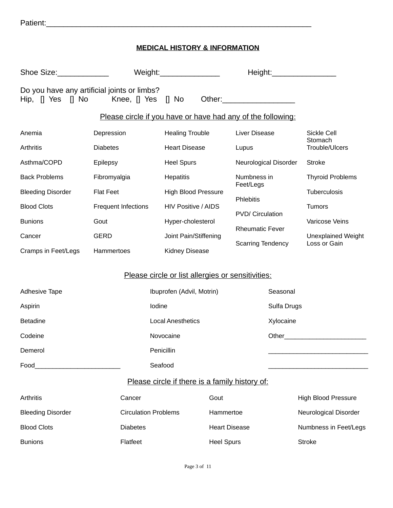| Patient: |  |
|----------|--|
|          |  |

#### **MEDICAL HISTORY & INFORMATION**

| Shoe Size:                                                                                                                               | Weight:                                                     |                                                   |                      |                          |             | Height: Network of the Manuscript of the Manuscript of the Manuscript of the Manuscript of the Manuscript of the Ma                                                                                                           |
|------------------------------------------------------------------------------------------------------------------------------------------|-------------------------------------------------------------|---------------------------------------------------|----------------------|--------------------------|-------------|-------------------------------------------------------------------------------------------------------------------------------------------------------------------------------------------------------------------------------|
| Do you have any artificial joints or limbs?<br>Hip, $\begin{bmatrix} 1 \\ 1 \end{bmatrix}$ Yes $\begin{bmatrix} 1 \\ 1 \end{bmatrix}$ No | Knee, [] Yes                                                | $\Box$ No                                         |                      |                          |             |                                                                                                                                                                                                                               |
|                                                                                                                                          | Please circle if you have or have had any of the following: |                                                   |                      |                          |             |                                                                                                                                                                                                                               |
| Anemia                                                                                                                                   | Depression                                                  | <b>Healing Trouble</b>                            |                      | <b>Liver Disease</b>     |             | Sickle Cell<br>Stomach                                                                                                                                                                                                        |
| Arthritis                                                                                                                                | <b>Diabetes</b>                                             | <b>Heart Disease</b>                              |                      | Lupus                    |             | Trouble/Ulcers                                                                                                                                                                                                                |
| Asthma/COPD                                                                                                                              | Epilepsy                                                    | <b>Heel Spurs</b>                                 |                      | Neurological Disorder    |             | <b>Stroke</b>                                                                                                                                                                                                                 |
| <b>Back Problems</b>                                                                                                                     | Fibromyalgia                                                | Hepatitis                                         |                      | Numbness in              |             | <b>Thyroid Problems</b>                                                                                                                                                                                                       |
| <b>Bleeding Disorder</b>                                                                                                                 | <b>Flat Feet</b>                                            | <b>High Blood Pressure</b>                        |                      | Feet/Legs<br>Phlebitis   |             | Tuberculosis                                                                                                                                                                                                                  |
| <b>Blood Clots</b>                                                                                                                       | <b>Frequent Infections</b>                                  | <b>HIV Positive / AIDS</b>                        |                      |                          |             | <b>Tumors</b>                                                                                                                                                                                                                 |
| <b>Bunions</b>                                                                                                                           | Gout                                                        | Hyper-cholesterol                                 |                      | <b>PVD/ Circulation</b>  |             | Varicose Veins                                                                                                                                                                                                                |
| Cancer                                                                                                                                   | <b>GERD</b>                                                 | Joint Pain/Stiffening                             |                      | <b>Rheumatic Fever</b>   |             | Unexplained Weight                                                                                                                                                                                                            |
| Cramps in Feet/Legs                                                                                                                      | Hammertoes                                                  | Kidney Disease                                    |                      | <b>Scarring Tendency</b> |             | Loss or Gain                                                                                                                                                                                                                  |
|                                                                                                                                          |                                                             | Please circle or list allergies or sensitivities: |                      |                          |             |                                                                                                                                                                                                                               |
| Adhesive Tape                                                                                                                            |                                                             | Ibuprofen (Advil, Motrin)                         |                      |                          | Seasonal    |                                                                                                                                                                                                                               |
| Aspirin                                                                                                                                  | Iodine                                                      |                                                   |                      |                          | Sulfa Drugs |                                                                                                                                                                                                                               |
| <b>Betadine</b>                                                                                                                          |                                                             | <b>Local Anesthetics</b>                          |                      |                          | Xylocaine   |                                                                                                                                                                                                                               |
| Codeine                                                                                                                                  |                                                             | Novocaine                                         |                      |                          |             | Other and the contract of the contract of the contract of the contract of the contract of the contract of the contract of the contract of the contract of the contract of the contract of the contract of the contract of the |
| Demerol                                                                                                                                  |                                                             | Penicillin                                        |                      |                          |             |                                                                                                                                                                                                                               |
| Food                                                                                                                                     | Seafood                                                     |                                                   |                      |                          |             |                                                                                                                                                                                                                               |
|                                                                                                                                          |                                                             |                                                   |                      |                          |             |                                                                                                                                                                                                                               |
|                                                                                                                                          |                                                             | Please circle if there is a family history of:    |                      |                          |             |                                                                                                                                                                                                                               |
| Arthritis                                                                                                                                | Cancer                                                      |                                                   | Gout                 |                          |             | <b>High Blood Pressure</b>                                                                                                                                                                                                    |
| <b>Bleeding Disorder</b>                                                                                                                 | <b>Circulation Problems</b>                                 |                                                   | Hammertoe            |                          |             | Neurological Disorder                                                                                                                                                                                                         |
| <b>Blood Clots</b>                                                                                                                       | <b>Diabetes</b>                                             |                                                   | <b>Heart Disease</b> |                          |             | Numbness in Feet/Legs                                                                                                                                                                                                         |
| <b>Bunions</b>                                                                                                                           | Flatfeet                                                    |                                                   | <b>Heel Spurs</b>    |                          |             | <b>Stroke</b>                                                                                                                                                                                                                 |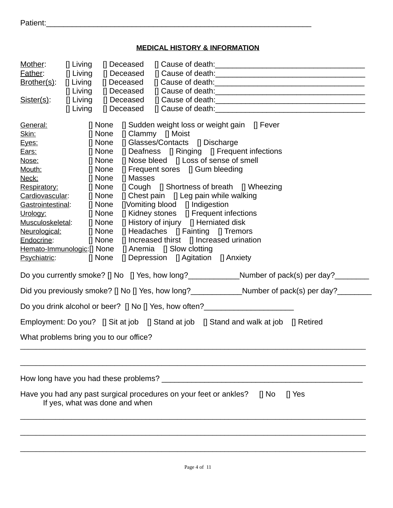| Patient: |  |
|----------|--|
|          |  |

### **MEDICAL HISTORY & INFORMATION**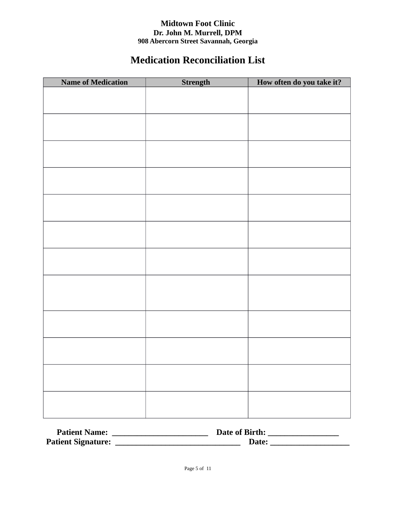#### **Midtown Foot Clinic Dr. John M. Murrell, DPM 908 Abercorn Street Savannah, Georgia**

## **Medication Reconciliation List**

| <b>Name of Medication</b> | Strength | How often do you take it? |
|---------------------------|----------|---------------------------|
|                           |          |                           |
|                           |          |                           |
|                           |          |                           |
|                           |          |                           |
|                           |          |                           |
|                           |          |                           |
|                           |          |                           |
|                           |          |                           |
|                           |          |                           |
|                           |          |                           |
|                           |          |                           |
|                           |          |                           |
|                           |          |                           |
|                           |          |                           |
|                           |          |                           |
|                           |          |                           |
|                           |          |                           |
|                           |          |                           |
|                           |          |                           |
|                           |          |                           |
|                           |          |                           |
|                           |          |                           |
|                           |          |                           |
|                           |          |                           |
|                           |          |                           |
|                           |          |                           |
|                           |          |                           |
|                           |          |                           |
|                           |          |                           |

| <b>Patient Name:</b>      | Date of Birth: |  |
|---------------------------|----------------|--|
| <b>Patient Signature:</b> | Date:          |  |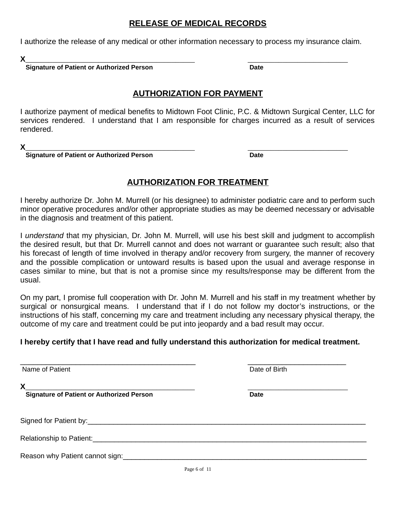#### **RELEASE OF MEDICAL RECORDS**

I authorize the release of any medical or other information necessary to process my insurance claim.

**X**\_\_\_\_\_\_\_\_\_\_\_\_\_\_\_\_\_\_\_\_\_\_\_\_\_\_\_\_\_\_\_\_\_\_\_\_\_\_\_\_\_\_\_\_ \_\_\_\_\_\_\_\_\_\_\_\_\_\_\_\_\_\_\_\_\_\_\_\_\_\_

 **Signature of Patient or Authorized Person Date**

#### **AUTHORIZATION FOR PAYMENT**

I authorize payment of medical benefits to Midtown Foot Clinic, P.C. & Midtown Surgical Center, LLC for services rendered. I understand that I am responsible for charges incurred as a result of services rendered.

**X**\_\_\_\_\_\_\_\_\_\_\_\_\_\_\_\_\_\_\_\_\_\_\_\_\_\_\_\_\_\_\_\_\_\_\_\_\_\_\_\_\_\_\_\_ \_\_\_\_\_\_\_\_\_\_\_\_\_\_\_\_\_\_\_\_\_\_\_\_\_\_

 **Signature of Patient or Authorized Person Date**

### **AUTHORIZATION FOR TREATMENT**

I hereby authorize Dr. John M. Murrell (or his designee) to administer podiatric care and to perform such minor operative procedures and/or other appropriate studies as may be deemed necessary or advisable in the diagnosis and treatment of this patient.

I *understand* that my physician, Dr. John M. Murrell, will use his best skill and judgment to accomplish the desired result, but that Dr. Murrell cannot and does not warrant or guarantee such result; also that his forecast of length of time involved in therapy and/or recovery from surgery, the manner of recovery and the possible complication or untoward results is based upon the usual and average response in cases similar to mine, but that is not a promise since my results/response may be different from the usual.

On my part, I promise full cooperation with Dr. John M. Murrell and his staff in my treatment whether by surgical or nonsurgical means. I understand that if I do not follow my doctor's instructions, or the instructions of his staff, concerning my care and treatment including any necessary physical therapy, the outcome of my care and treatment could be put into jeopardy and a bad result may occur.

### **I hereby certify that I have read and fully understand this authorization for medical treatment.**

| Name of Patient                                       | Date of Birth |
|-------------------------------------------------------|---------------|
| X<br><b>Signature of Patient or Authorized Person</b> | <b>Date</b>   |
|                                                       |               |
| Relationship to Patient:                              |               |
| Reason why Patient cannot sign:                       |               |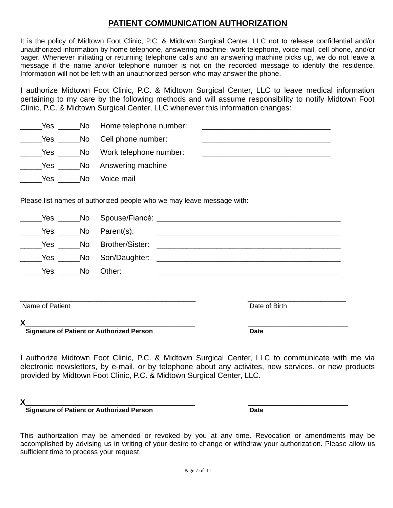#### **PATIENT COMMUNICATION AUTHORIZATION**

It is the policy of Midtown Foot Clinic, P.C. & Midtown Surgical Center, LLC not to release confidential and/or unauthorized information by home telephone, answering machine, work telephone, voice mail, cell phone, and/or pager. Whenever initiating or returning telephone calls and an answering machine picks up, we do not leave a message if the name and/or telephone number is not on the recorded message to identify the residence. Information will not be left with an unauthorized person who may answer the phone.

I authorize Midtown Foot Clinic, P.C. & Midtown Surgical Center, LLC to leave medical information pertaining to my care by the following methods and will assume responsibility to notify Midtown Foot Clinic, P.C. & Midtown Surgical Center, LLC whenever this information changes:

| Yes |     | No Home telephone number: |  |
|-----|-----|---------------------------|--|
| Yes |     | No Cell phone number:     |  |
| Yes |     | No Work telephone number: |  |
| Yes |     | No Answering machine      |  |
| Yes | No. | Voice mail                |  |

Please list names of authorized people who we may leave message with:

| Yes             | No | Spouse/Fiancé:  |               |
|-----------------|----|-----------------|---------------|
| Yes             | No | Parent(s):      |               |
| Yes             | No | Brother/Sister: |               |
| Yes             | No | Son/Daughter:   |               |
| Yes             | No | Other:          |               |
|                 |    |                 |               |
| Name of Patient |    |                 | Date of Birth |
| X               |    |                 |               |

 **Signature of Patient or Authorized Person Date**

I authorize Midtown Foot Clinic, P.C. & Midtown Surgical Center, LLC to communicate with me via electronic newsletters, by e-mail, or by telephone about any activites, new services, or new products provided by Midtown Foot Clinic, P.C. & Midtown Surgical Center, LLC.

**X**\_\_\_\_\_\_\_\_\_\_\_\_\_\_\_\_\_\_\_\_\_\_\_\_\_\_\_\_\_\_\_\_\_\_\_\_\_\_\_\_\_\_\_\_ \_\_\_\_\_\_\_\_\_\_\_\_\_\_\_\_\_\_\_\_\_\_\_\_\_\_

**Signature of Patient or Authorized Person Date** 

This authorization may be amended or revoked by you at any time. Revocation or amendments may be accomplished by advising us in writing of your desire to change or withdraw your authorization. Please allow us sufficient time to process your request.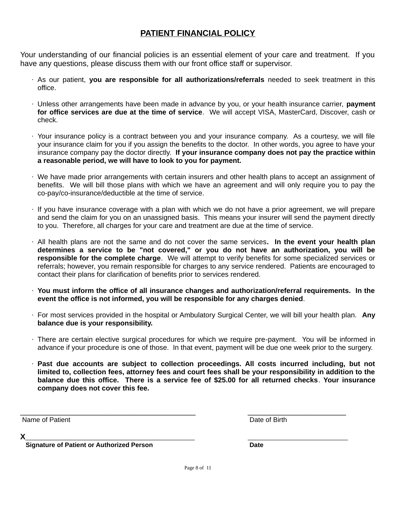### **PATIENT FINANCIAL POLICY**

Your understanding of our financial policies is an essential element of your care and treatment. If you have any questions, please discuss them with our front office staff or supervisor.

- · As our patient, **you are responsible for all authorizations/referrals** needed to seek treatment in this office.
- · Unless other arrangements have been made in advance by you, or your health insurance carrier, **payment for office services are due at the time of service**. We will accept VISA, MasterCard, Discover, cash or check.
- · Your insurance policy is a contract between you and your insurance company. As a courtesy, we will file your insurance claim for you if you assign the benefits to the doctor. In other words, you agree to have your insurance company pay the doctor directly. **If your insurance company does not pay the practice within a reasonable period, we will have to look to you for payment.**
- · We have made prior arrangements with certain insurers and other health plans to accept an assignment of benefits. We will bill those plans with which we have an agreement and will only require you to pay the co-pay/co-insurance/deductible at the time of service.
- · If you have insurance coverage with a plan with which we do not have a prior agreement, we will prepare and send the claim for you on an unassigned basis. This means your insurer will send the payment directly to you. Therefore, all charges for your care and treatment are due at the time of service.
- · All health plans are not the same and do not cover the same services**. In the event your health plan determines a service to be "not covered," or you do not have an authorization, you will be responsible for the complete charge**. We will attempt to verify benefits for some specialized services or referrals; however, you remain responsible for charges to any service rendered. Patients are encouraged to contact their plans for clarification of benefits prior to services rendered.
- · **You must inform the office of all insurance changes and authorization/referral requirements. In the event the office is not informed, you will be responsible for any charges denied**.
- · For most services provided in the hospital or Ambulatory Surgical Center, we will bill your health plan. **Any balance due is your responsibility.**
- · There are certain elective surgical procedures for which we require pre-payment. You will be informed in advance if your procedure is one of those. In that event, payment will be due one week prior to the surgery.
- · **Past due accounts are subject to collection proceedings. All costs incurred including, but not limited to, collection fees, attorney fees and court fees shall be your responsibility in addition to the balance due this office. There is a service fee of \$25.00 for all returned checks**. **Your insurance company does not cover this fee.**

Name of Patient Date of Birth

**X**\_\_\_\_\_\_\_\_\_\_\_\_\_\_\_\_\_\_\_\_\_\_\_\_\_\_\_\_\_\_\_\_\_\_\_\_\_\_\_\_\_\_\_\_ \_\_\_\_\_\_\_\_\_\_\_\_\_\_\_\_\_\_\_\_\_\_\_\_\_\_

 **Signature of Patient or Authorized Person Date** 

 $\mathcal{L}_\mathcal{L} = \mathcal{L}_\mathcal{L} = \mathcal{L}_\mathcal{L} = \mathcal{L}_\mathcal{L} = \mathcal{L}_\mathcal{L} = \mathcal{L}_\mathcal{L} = \mathcal{L}_\mathcal{L} = \mathcal{L}_\mathcal{L} = \mathcal{L}_\mathcal{L} = \mathcal{L}_\mathcal{L} = \mathcal{L}_\mathcal{L} = \mathcal{L}_\mathcal{L} = \mathcal{L}_\mathcal{L} = \mathcal{L}_\mathcal{L} = \mathcal{L}_\mathcal{L} = \mathcal{L}_\mathcal{L} = \mathcal{L}_\mathcal{L}$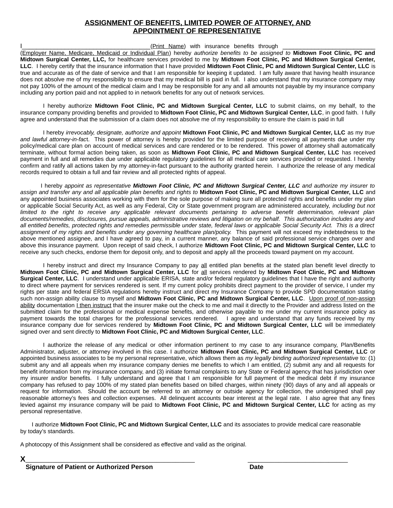#### **ASSIGNMENT OF BENEFITS, LIMITED POWER OF ATTORNEY, AND APPOINTMENT OF REPRESENTATIVE**

I<sub>1</sub> The set of the set of the set of the set of the set of the set of the set of the set of the set of the set of the set of the set of the set of the set of the set of the set of the set of the set of the set of the set (Employer Name, Medicare, Medicaid or Individual Plan) hereby *authorize benefits to be assigned to* **Midtown Foot Clinic, PC and Midtown Surgical Center, LLC,** for healthcare services provided to me by **Midtown Foot Clinic, PC and Midtown Surgical Center, LLC**. I hereby certify that the insurance information that I have provided **Midtown Foot Clinic, PC and Midtown Surgical Center, LLC** is true and accurate as of the date of service and that I am responsible for keeping it updated. I am fully aware that having health insurance does not absolve me of my responsibility to ensure that my medical bill is paid in full. I also understand that my insurance company may not pay 100% of the amount of the medical claim and I may be responsible for any and all amounts not payable by my insurance company including any portion paid and not applied to in network benefits for any out of network services.

I hereby authorize **Midtown Foot Clinic, PC and Midtown Surgical Center, LLC** to submit claims, on my behalf, to the insurance company providing benefits and provided to **Midtown Foot Clinic, PC and Midtown Surgical Center, LLC**, in good faith. I fully agree and understand that the submission of a claim does not absolve me of my responsibility to ensure the claim is paid in full

I hereby *irrevocably, designate, authorize and appoint* **Midtown Foot Clinic, PC and Midtown Surgical Center, LLC** as my *true and lawful attorney-in-fac*t. This power of attorney is hereby provided for the limited purpose of receiving all payments due under my policy/medical care plan on account of medical services and care rendered or to be rendered. This power of attorney shall automatically terminate, without formal action being taken, as soon as **Midtown Foot Clinic, PC and Midtown Surgical Center, LLC** has received payment in full and all remedies due under applicable regulatory guidelines for all medical care services provided or requested. I hereby confirm and ratify all actions taken by my attorney-in-fact pursuant to the authority granted herein. I authorize the release of any medical records required to obtain a full and fair review and all protected rights of appeal.

 I hereby *appoint as representative Midtown Foot Clinic, PC and Midtown Surgical Center, LLC and authorize my insurer to assign and transfer any and all applicable plan benefits and rights to* **Midtown Foot Clinic, PC and Midtown Surgical Center, LLC** and any appointed business associates working with them for the sole purpose of making sure all protected rights and benefits under my plan or applicable Social Security Act, as well as any Federal, City or State government program are administered accurately, *including but not limited to the right to receive any applicable relevant documents pertaining to adverse benefit determination, relevant plan documents/remedies, disclosures, pursue appeals, administrative reviews and litigation on my behalf. This authorization includes any and all entitled benefits, protected rights and remedies permissible under state, federal laws or applicable Social Security Act. This is a direct assignment of my rights and benefits under any governing healthcare plan/policy.* This payment will not exceed my indebtedness to the above mentioned assignee, and I have agreed to pay, in a current manner, any balance of said professional service charges over and above this insurance payment. Upon receipt of said check, I authorize **Midtown Foot Clinic, PC and Midtown Surgical Center, LLC** to receive any such checks, endorse them for deposit only, and to deposit and apply all the proceeds toward payment on my account.

I hereby instruct and direct my Insurance Company to pay all entitled plan benefits at the stated plan benefit level directly to **Midtown Foot Clinic, PC and Midtown Surgical Center, LLC** for all services rendered by **Midtown Foot Clinic, PC and Midtown Surgical Center, LLC**. I understand under applicable ERISA, state and/or federal regulatory guidelines that I have the right and authority to direct where payment for services rendered is sent. If my current policy prohibits direct payment to the provider of service, I under my rights per state and federal ERSIA regulations hereby instruct and direct my Insurance Company to provide SPD documentation stating such non-assign ability clause to myself and **Midtown Foot Clinic, PC and Midtown Surgical Center, LLC**. Upon proof of non-assign ability documentation I then instruct that the insurer make out the check to me and mail it directly to the Provider and address listed on the submitted claim for the professional or medical expense benefits, and otherwise payable to me under my current insurance policy as payment towards the total charges for the professional services rendered. I agree and understand that any funds received by my insurance company due for services rendered by **Midtown Foot Clinic, PC and Midtown Surgical Center, LLC** will be immediately signed over and sent directly to **Midtown Foot Clinic, PC and Midtown Surgical Center, LLC**.

I authorize the release of any medical or other information pertinent to my case to any insurance company, Plan/Benefits Administrator, adjuster, or attorney involved in this case. I authorize **Midtown Foot Clinic, PC and Midtown Surgical Center, LLC** or appointed business associates to be my personal representative, which allows them as *my legally binding authorized representative* to: (1) submit any and all appeals when my insurance company denies me benefits to which I am entitled, (2) submit any and all requests for benefit information from my insurance company, and (3) initiate formal complaints to any State or Federal agency that has jurisdiction over my insurer and/or benefits. I fully understand and agree that I am responsible for full payment of the medical debt if my insurance company has refused to pay 100% of my stated plan benefits based on billed charges, within ninety (90) days of any and all appeals or request for information. Should the account be referred to an attorney or outside agency for collection, the undersigned shall pay reasonable attorney's fees and collection expenses. All delinquent accounts bear interest at the legal rate. I also agree that any fines levied against my insurance company will be paid to **Midtown Foot Clinic, PC and Midtown Surgical Center, LLC** for acting as my personal representative.

I authorize **Midtown Foot Clinic, PC and Midtown Surgical Center, LLC** and its associates to provide medical care reasonable by today's standards.

A photocopy of this Assignment shall be considered as effective and valid as the original.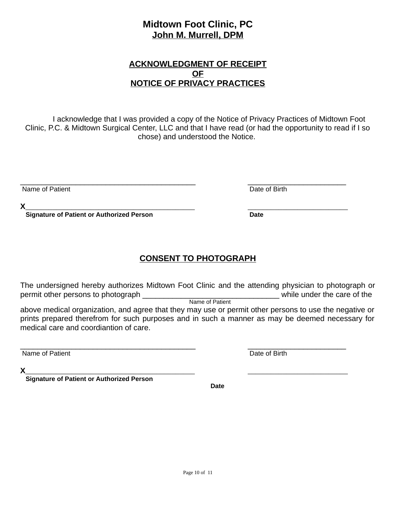### **Midtown Foot Clinic, PC John M. Murrell, DPM**

#### **ACKNOWLEDGMENT OF RECEIPT OF NOTICE OF PRIVACY PRACTICES**

I acknowledge that I was provided a copy of the Notice of Privacy Practices of Midtown Foot Clinic, P.C. & Midtown Surgical Center, LLC and that I have read (or had the opportunity to read if I so chose) and understood the Notice.

 $\mathcal{L}_\mathcal{L} = \mathcal{L}_\mathcal{L} = \mathcal{L}_\mathcal{L} = \mathcal{L}_\mathcal{L} = \mathcal{L}_\mathcal{L} = \mathcal{L}_\mathcal{L} = \mathcal{L}_\mathcal{L} = \mathcal{L}_\mathcal{L} = \mathcal{L}_\mathcal{L} = \mathcal{L}_\mathcal{L} = \mathcal{L}_\mathcal{L} = \mathcal{L}_\mathcal{L} = \mathcal{L}_\mathcal{L} = \mathcal{L}_\mathcal{L} = \mathcal{L}_\mathcal{L} = \mathcal{L}_\mathcal{L} = \mathcal{L}_\mathcal{L}$ 

Date of Birth

| . . |  |
|-----|--|
|     |  |

 **Signature of Patient or Authorized Person Date**

### **CONSENT TO PHOTOGRAPH**

The undersigned hereby authorizes Midtown Foot Clinic and the attending physician to photograph or permit other persons to photograph **while under the care of the** Name of Patient

above medical organization, and agree that they may use or permit other persons to use the negative or prints prepared therefrom for such purposes and in such a manner as may be deemed necessary for medical care and coordiantion of care.

 $\overline{\phantom{a}}$  , and the contribution of the contribution of the contribution of the contribution of the contribution of the contribution of the contribution of the contribution of the contribution of the contribution of the

Name of Patient Date of Birth

**X**\_\_\_\_\_\_\_\_\_\_\_\_\_\_\_\_\_\_\_\_\_\_\_\_\_\_\_\_\_\_\_\_\_\_\_\_\_\_\_\_\_\_\_\_ \_\_\_\_\_\_\_\_\_\_\_\_\_\_\_\_\_\_\_\_\_\_\_\_\_\_

 **Signature of Patient or Authorized Person** 

 **Date**